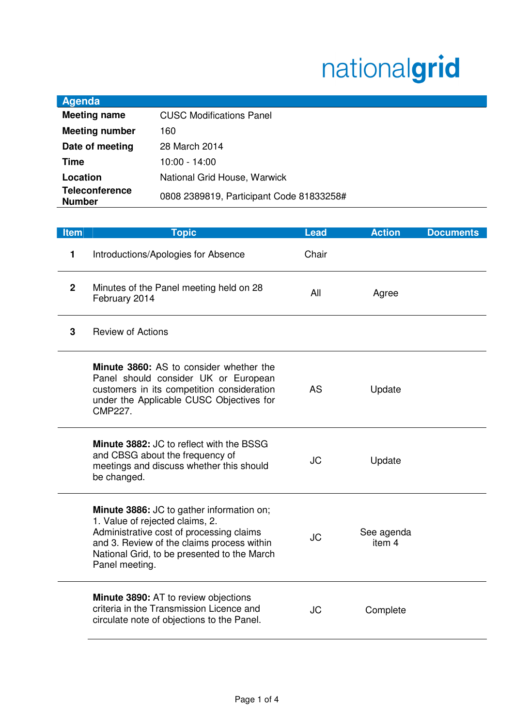## nationalgrid

| Agenda                                 |                                          |
|----------------------------------------|------------------------------------------|
| <b>Meeting name</b>                    | <b>CUSC Modifications Panel</b>          |
| <b>Meeting number</b>                  | 160                                      |
| Date of meeting                        | 28 March 2014                            |
| Time                                   | 10:00 - 14:00                            |
| Location                               | National Grid House, Warwick             |
| <b>Teleconference</b><br><b>Number</b> | 0808 2389819, Participant Code 81833258# |

| <b>Item</b>  | <b>Topic</b>                                                                                                                                                                                                                            | <b>Lead</b> | <b>Action</b>        | <b>Documents</b> |
|--------------|-----------------------------------------------------------------------------------------------------------------------------------------------------------------------------------------------------------------------------------------|-------------|----------------------|------------------|
| 1            | Introductions/Apologies for Absence                                                                                                                                                                                                     | Chair       |                      |                  |
| $\mathbf{2}$ | Minutes of the Panel meeting held on 28<br>February 2014                                                                                                                                                                                | All         | Agree                |                  |
| 3            | <b>Review of Actions</b>                                                                                                                                                                                                                |             |                      |                  |
|              | <b>Minute 3860:</b> AS to consider whether the<br>Panel should consider UK or European<br>customers in its competition consideration<br>under the Applicable CUSC Objectives for<br><b>CMP227.</b>                                      | <b>AS</b>   | Update               |                  |
|              | Minute 3882: JC to reflect with the BSSG<br>and CBSG about the frequency of<br>meetings and discuss whether this should<br>be changed.                                                                                                  | JC          | Update               |                  |
|              | Minute 3886: JC to gather information on;<br>1. Value of rejected claims, 2.<br>Administrative cost of processing claims<br>and 3. Review of the claims process within<br>National Grid, to be presented to the March<br>Panel meeting. | <b>JC</b>   | See agenda<br>item 4 |                  |
|              | Minute 3890: AT to review objections<br>criteria in the Transmission Licence and<br>circulate note of objections to the Panel.                                                                                                          | JC          | Complete             |                  |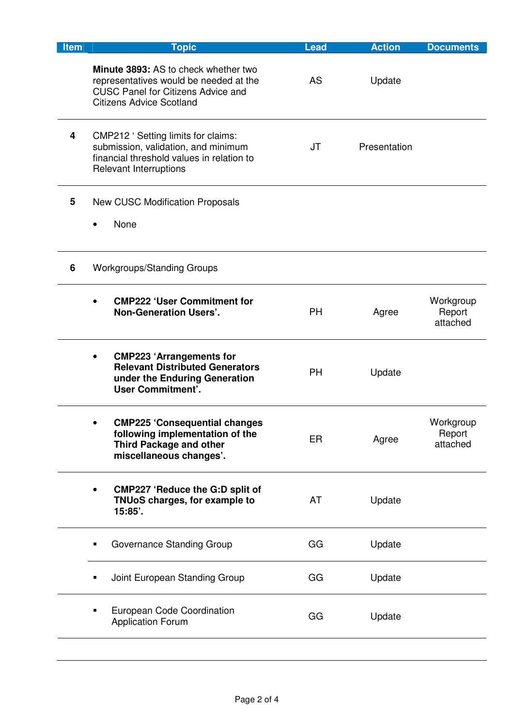| Item | <b>Topic</b>                                                                                                                                                   | <b>Lead</b> | <b>Action</b> | <b>Documents</b>                |
|------|----------------------------------------------------------------------------------------------------------------------------------------------------------------|-------------|---------------|---------------------------------|
|      | Minute 3893: AS to check whether two<br>representatives would be needed at the<br><b>CUSC Panel for Citizens Advice and</b><br><b>Citizens Advice Scotland</b> | AS          | Update        |                                 |
| 4    | CMP212 ' Setting limits for claims:<br>submission, validation, and minimum<br>financial threshold values in relation to<br>Relevant Interruptions              | JT          | Presentation  |                                 |
| 5    | <b>New CUSC Modification Proposals</b>                                                                                                                         |             |               |                                 |
|      | None                                                                                                                                                           |             |               |                                 |
| 6    | <b>Workgroups/Standing Groups</b>                                                                                                                              |             |               |                                 |
|      | <b>CMP222 'User Commitment for</b><br><b>Non-Generation Users'.</b>                                                                                            | <b>PH</b>   | Agree         | Workgroup<br>Report<br>attached |
|      | <b>CMP223 'Arrangements for</b><br><b>Relevant Distributed Generators</b><br>under the Enduring Generation<br><b>User Commitment'.</b>                         | <b>PH</b>   | Update        |                                 |
|      | <b>CMP225 'Consequential changes</b><br>following implementation of the<br><b>Third Package and other</b><br>miscellaneous changes'.                           | ER          | Agree         | Workgroup<br>Report<br>attached |
|      | <b>CMP227 'Reduce the G:D split of</b><br><b>TNUoS charges, for example to</b><br>15:85'.                                                                      | AT          | Update        |                                 |
|      | Governance Standing Group                                                                                                                                      | GG          | Update        |                                 |
|      | Joint European Standing Group                                                                                                                                  | GG          | Update        |                                 |
|      | European Code Coordination<br><b>Application Forum</b>                                                                                                         | GG          | Update        |                                 |
|      |                                                                                                                                                                |             |               |                                 |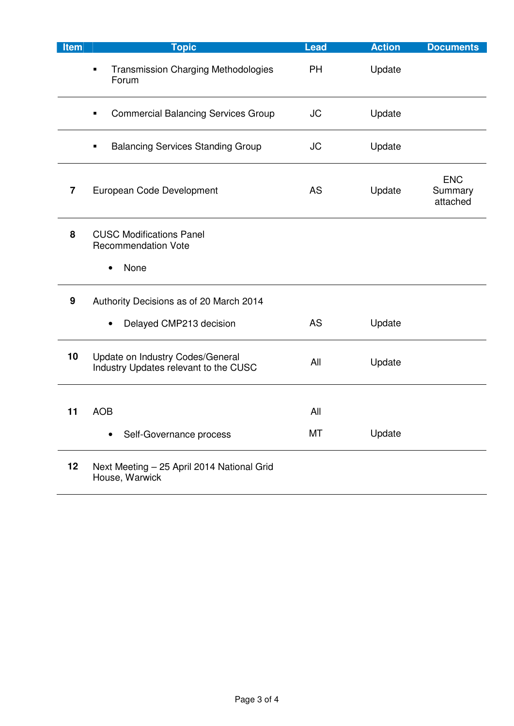| Item | <b>Topic</b>                                                              | <b>Lead</b> | <b>Action</b> | <b>Documents</b>                  |
|------|---------------------------------------------------------------------------|-------------|---------------|-----------------------------------|
|      | <b>Transmission Charging Methodologies</b><br>$\blacksquare$<br>Forum     | <b>PH</b>   | Update        |                                   |
|      | <b>Commercial Balancing Services Group</b>                                | <b>JC</b>   | Update        |                                   |
|      | <b>Balancing Services Standing Group</b>                                  | JC          | Update        |                                   |
| 7    | European Code Development                                                 | AS          | Update        | <b>ENC</b><br>Summary<br>attached |
| 8    | <b>CUSC Modifications Panel</b><br><b>Recommendation Vote</b><br>None     |             |               |                                   |
|      |                                                                           |             |               |                                   |
| 9    | Authority Decisions as of 20 March 2014                                   |             |               |                                   |
|      | Delayed CMP213 decision                                                   | AS          | Update        |                                   |
| 10   | Update on Industry Codes/General<br>Industry Updates relevant to the CUSC | All         | Update        |                                   |
| 11   | <b>AOB</b>                                                                | All         |               |                                   |
|      | Self-Governance process                                                   | МT          | Update        |                                   |
| 12   | Next Meeting - 25 April 2014 National Grid<br>House, Warwick              |             |               |                                   |